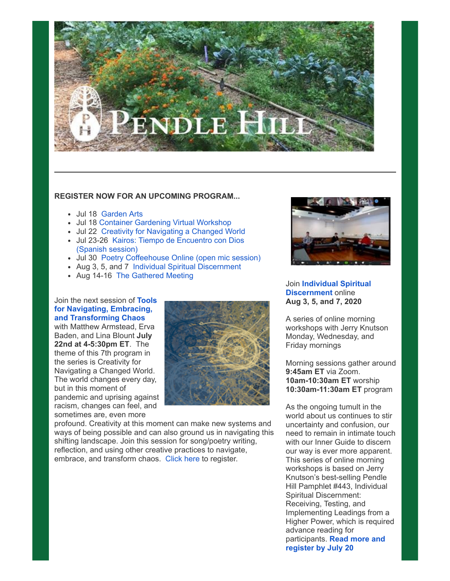

### **REGISTER NOW FOR AN UPCOMING PROGRAM...**

- Jul 18 [Garden Arts](https://bbox.blackbaudhosting.com/webforms/linkredirect?url=https%3a%2f%2fpendlehill.org%2fevents%2fgarden-arts%2f&srcid=23138102&srctid=1&erid=1575050081&trid=8ab415dc-8511-4ce9-b104-0d623d20cf3d&linkid=233450761&isbbox=1)
- Jul 18 [Container Gardening Virtual Workshop](https://bbox.blackbaudhosting.com/webforms/linkredirect?url=https%3a%2f%2fpendlehill.org%2fevents%2fcontainer-gardening-virtual-workshop%2f&srcid=23138102&srctid=1&erid=1575050081&trid=8ab415dc-8511-4ce9-b104-0d623d20cf3d&linkid=233450762&isbbox=1)
- Jul 22 [Creativity for Navigating a Changed World](https://bbox.blackbaudhosting.com/webforms/linkredirect?url=https%3a%2f%2fpendlehill.org%2fevents%2ftools-for-navigating-embracing-and-transforming-chaos%2f&srcid=23138102&srctid=1&erid=1575050081&trid=8ab415dc-8511-4ce9-b104-0d623d20cf3d&linkid=233450763&isbbox=1)
- [Jul 23-26 Kairos: Tiempo de Encuentro con Dios](https://bbox.blackbaudhosting.com/webforms/linkredirect?url=https%3a%2f%2fpendlehill.org%2fevents%2fkairos-tiempo-de-encuentro-con-dios%2f&srcid=23138102&srctid=1&erid=1575050081&trid=8ab415dc-8511-4ce9-b104-0d623d20cf3d&linkid=233450764&isbbox=1) (Spanish session)
- Jul 30 [Poetry Coffeehouse Online \(open mic session\)](https://bbox.blackbaudhosting.com/webforms/linkredirect?url=https%3a%2f%2fpendlehill.org%2fevents%2fpoetry-coffeehouse-online-07-30-20%2f&srcid=23138102&srctid=1&erid=1575050081&trid=8ab415dc-8511-4ce9-b104-0d623d20cf3d&linkid=233450765&isbbox=1)
- Aug 3, 5, and 7 [Individual Spiritual Discernment](https://bbox.blackbaudhosting.com/webforms/linkredirect?url=https%3a%2f%2fpendlehill.org%2fevents%2findividual-spiritual-discernment%2f&srcid=23138102&srctid=1&erid=1575050081&trid=8ab415dc-8511-4ce9-b104-0d623d20cf3d&linkid=233450766&isbbox=1)
- Aug 14-16 [The Gathered Meeting](https://bbox.blackbaudhosting.com/webforms/linkredirect?url=https%3a%2f%2fpendlehill.org%2fevents%2fthe-gathered-meeting%2f&srcid=23138102&srctid=1&erid=1575050081&trid=8ab415dc-8511-4ce9-b104-0d623d20cf3d&linkid=233450767&isbbox=1)

# Join the next session of **Tools [for Navigating, Embracing,](https://bbox.blackbaudhosting.com/webforms/linkredirect?url=https%3a%2f%2fpendlehill.org%2flearn%2ftools-for-navigating-embracing-and-transforming-chaos%2f&srcid=23138102&srctid=1&erid=1575050081&trid=8ab415dc-8511-4ce9-b104-0d623d20cf3d&linkid=233450768&isbbox=1) and Transforming Chaos**

with Matthew Armstead, Erva Baden, and Lina Blount **July 22nd at 4-5:30pm ET**. The theme of this 7th program in the series is Creativity for Navigating a Changed World. The world changes every day, but in this moment of pandemic and uprising against racism, changes can feel, and sometimes are, even more



profound. Creativity at this moment can make new systems and ways of being possible and can also ground us in navigating this shifting landscape. Join this session for song/poetry writing, reflection, and using other creative practices to navigate, embrace, and transform chaos. [Click here t](https://bbox.blackbaudhosting.com/webforms/linkredirect?url=https%3a%2f%2fpendlehill.org%2flearn%2fworkshops-courses-events%2fevent-registration-tools-for-navigating-embracing-and-transforming-chaos-07-22-20%2f&srcid=23138102&srctid=1&erid=1575050081&trid=8ab415dc-8511-4ce9-b104-0d623d20cf3d&linkid=233450769&isbbox=1)o register.



## Join **[Individual Spiritual](https://bbox.blackbaudhosting.com/webforms/linkredirect?url=https%3a%2f%2fpendlehill.org%2fevents%2findividual-spiritual-discernment%2f&srcid=23138102&srctid=1&erid=1575050081&trid=8ab415dc-8511-4ce9-b104-0d623d20cf3d&linkid=233450783&isbbox=1) Discernment** online **Aug 3, 5, and 7, 2020**

A series of online morning workshops with Jerry Knutson Monday, Wednesday, and Friday mornings

Morning sessions gather around **9:45am ET** via Zoom. **10am-10:30am ET** worship **10:30am-11:30am ET** program

As the ongoing tumult in the world about us continues to stir uncertainty and confusion, our need to remain in intimate touch with our Inner Guide to discern our way is ever more apparent. This series of online morning workshops is based on Jerry Knutson's best-selling Pendle Hill Pamphlet #443, Individual Spiritual Discernment: Receiving, Testing, and Implementing Leadings from a Higher Power, which is required advance reading for participants. **Read more and [register by July 20](https://bbox.blackbaudhosting.com/webforms/linkredirect?url=https%3a%2f%2fpendlehill.org%2fevents%2findividual-spiritual-discernment%2f&srcid=23138102&srctid=1&erid=1575050081&trid=8ab415dc-8511-4ce9-b104-0d623d20cf3d&linkid=233450784&isbbox=1)**